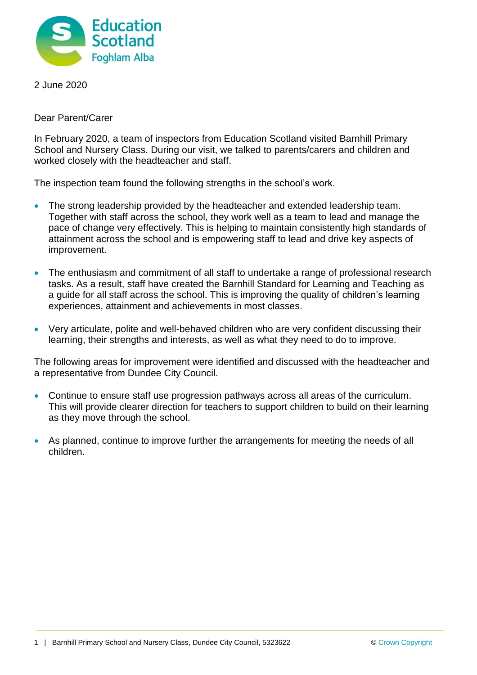

2 June 2020

Dear Parent/Carer

In February 2020, a team of inspectors from Education Scotland visited Barnhill Primary School and Nursery Class. During our visit, we talked to parents/carers and children and worked closely with the headteacher and staff.

The inspection team found the following strengths in the school's work.

- The strong leadership provided by the headteacher and extended leadership team. Together with staff across the school, they work well as a team to lead and manage the pace of change very effectively. This is helping to maintain consistently high standards of attainment across the school and is empowering staff to lead and drive key aspects of improvement.
- The enthusiasm and commitment of all staff to undertake a range of professional research tasks. As a result, staff have created the Barnhill Standard for Learning and Teaching as a guide for all staff across the school. This is improving the quality of children's learning experiences, attainment and achievements in most classes.
- Very articulate, polite and well-behaved children who are very confident discussing their learning, their strengths and interests, as well as what they need to do to improve.

The following areas for improvement were identified and discussed with the headteacher and a representative from Dundee City Council.

- Continue to ensure staff use progression pathways across all areas of the curriculum. This will provide clearer direction for teachers to support children to build on their learning as they move through the school.
- As planned, continue to improve further the arrangements for meeting the needs of all children.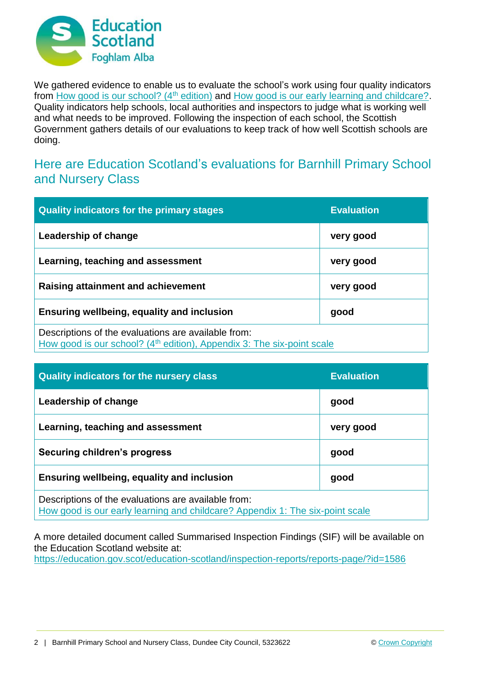

We gathered evidence to enable us to evaluate the school's work using four quality indicators from [How good is our school? \(4](https://education.gov.scot/improvement/Documents/Frameworks_SelfEvaluation/FRWK2_NIHeditHGIOS/FRWK2_HGIOS4.pdf)<sup>th</sup> edition) and [How good is our early learning and childcare?.](https://education.gov.scot/improvement/Documents/Frameworks_SelfEvaluation/FRWK1_NIHeditSelf-evaluationHGIELC/HGIOELC020316Revised.pdf) Quality indicators help schools, local authorities and inspectors to judge what is working well and what needs to be improved. Following the inspection of each school, the Scottish Government gathers details of our evaluations to keep track of how well Scottish schools are doing.

## Here are Education Scotland's evaluations for Barnhill Primary School and Nursery Class

| <b>Quality indicators for the primary stages</b>                                                                                          | <b>Evaluation</b> |
|-------------------------------------------------------------------------------------------------------------------------------------------|-------------------|
| Leadership of change                                                                                                                      | very good         |
| Learning, teaching and assessment                                                                                                         | very good         |
| Raising attainment and achievement                                                                                                        | very good         |
| Ensuring wellbeing, equality and inclusion                                                                                                | good              |
| Descriptions of the evaluations are available from:<br>How good is our school? (4 <sup>th</sup> edition), Appendix 3: The six-point scale |                   |

| <b>Quality indicators for the nursery class</b>                                                                                      | <b>Evaluation</b> |
|--------------------------------------------------------------------------------------------------------------------------------------|-------------------|
| Leadership of change                                                                                                                 | good              |
| Learning, teaching and assessment                                                                                                    | very good         |
| <b>Securing children's progress</b>                                                                                                  | good              |
| Ensuring wellbeing, equality and inclusion                                                                                           | good              |
| Descriptions of the evaluations are available from:<br>How good is our early learning and childcare? Appendix 1: The six-point scale |                   |

A more detailed document called Summarised Inspection Findings (SIF) will be available on the Education Scotland website at:

<https://education.gov.scot/education-scotland/inspection-reports/reports-page/?id=1586>